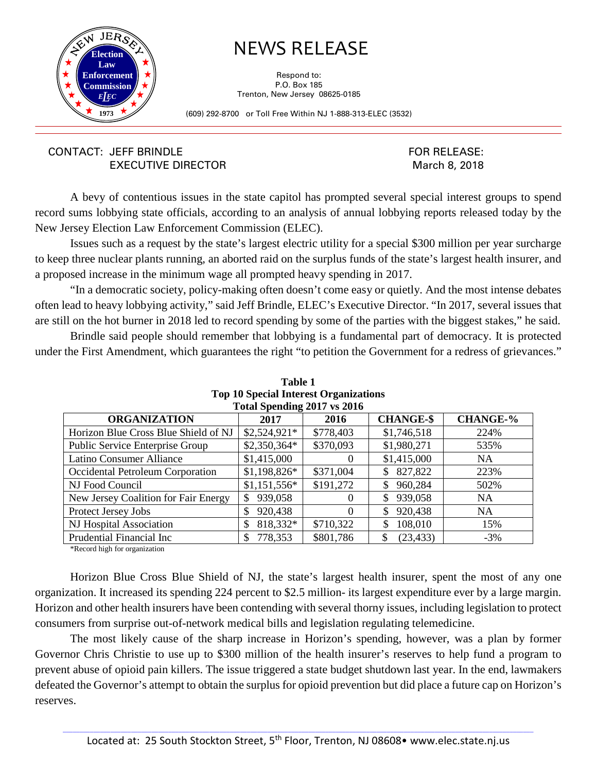

## NEWS RELEASE

Respond to: P.O. Box 185 Trenton, New Jersey 08625-0185

(609) 292-8700 or Toll Free Within NJ 1-888-313-ELEC (3532)

## CONTACT: JEFF BRINDLE EXECUTIVE DIRECTOR

FOR RELEASE: March 8, 2018

A bevy of contentious issues in the state capitol has prompted several special interest groups to spend record sums lobbying state officials, according to an analysis of annual lobbying reports released today by the New Jersey Election Law Enforcement Commission (ELEC).

Issues such as a request by the state's largest electric utility for a special \$300 million per year surcharge to keep three nuclear plants running, an aborted raid on the surplus funds of the state's largest health insurer, and a proposed increase in the minimum wage all prompted heavy spending in 2017.

"In a democratic society, policy-making often doesn't come easy or quietly. And the most intense debates often lead to heavy lobbying activity," said Jeff Brindle, ELEC's Executive Director. "In 2017, several issues that are still on the hot burner in 2018 led to record spending by some of the parties with the biggest stakes," he said.

Brindle said people should remember that lobbying is a fundamental part of democracy. It is protected under the First Amendment, which guarantees the right "to petition the Government for a redress of grievances."

| Total Spending 2017 vs 2016                                                |               |           |               |           |  |  |
|----------------------------------------------------------------------------|---------------|-----------|---------------|-----------|--|--|
| <b>CHANGE-%</b><br><b>CHANGE-\$</b><br><b>ORGANIZATION</b><br>2017<br>2016 |               |           |               |           |  |  |
| Horizon Blue Cross Blue Shield of NJ                                       | $$2,524,921*$ | \$778,403 | \$1,746,518   | 224%      |  |  |
| <b>Public Service Enterprise Group</b>                                     | $$2,350,364*$ | \$370,093 | \$1,980,271   | 535%      |  |  |
| Latino Consumer Alliance                                                   | \$1,415,000   | $\Omega$  | \$1,415,000   | <b>NA</b> |  |  |
| Occidental Petroleum Corporation                                           | $$1,198,826*$ | \$371,004 | 827,822<br>\$ | 223%      |  |  |
| NJ Food Council                                                            | $$1,151,556*$ | \$191,272 | 960,284<br>\$ | 502%      |  |  |
| New Jersey Coalition for Fair Energy                                       | 939,058<br>S  | $\theta$  | 939,058<br>\$ | <b>NA</b> |  |  |
| Protect Jersey Jobs                                                        | 920,438<br>S  | $\Omega$  | 920,438<br>\$ | <b>NA</b> |  |  |
| NJ Hospital Association                                                    | 818,332*      | \$710,322 | 108,010<br>\$ | 15%       |  |  |
| Prudential Financial Inc                                                   | 778,353       | \$801,786 | (23, 433)     | $-3\%$    |  |  |

**Table 1 Top 10 Special Interest Organizations** 

\*Record high for organization

Horizon Blue Cross Blue Shield of NJ, the state's largest health insurer, spent the most of any one organization. It increased its spending 224 percent to \$2.5 million- its largest expenditure ever by a large margin. Horizon and other health insurers have been contending with several thorny issues, including legislation to protect consumers from surprise out-of-network medical bills and legislation regulating telemedicine.

The most likely cause of the sharp increase in Horizon's spending, however, was a plan by former Governor Chris Christie to use up to \$300 million of the health insurer's reserves to help fund a program to prevent abuse of opioid pain killers. The issue triggered a state budget shutdown last year. In the end, lawmakers defeated the Governor's attempt to obtain the surplus for opioid prevention but did place a future cap on Horizon's reserves.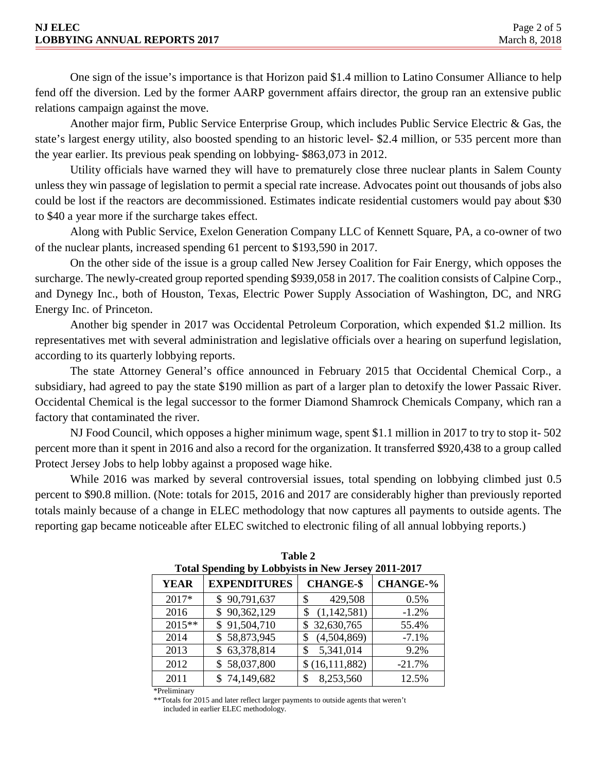One sign of the issue's importance is that Horizon paid \$1.4 million to Latino Consumer Alliance to help fend off the diversion. Led by the former AARP government affairs director, the group ran an extensive public relations campaign against the move.

Another major firm, Public Service Enterprise Group, which includes Public Service Electric & Gas, the state's largest energy utility, also boosted spending to an historic level- \$2.4 million, or 535 percent more than the year earlier. Its previous peak spending on lobbying- \$863,073 in 2012.

Utility officials have warned they will have to prematurely close three nuclear plants in Salem County unless they win passage of legislation to permit a special rate increase. Advocates point out thousands of jobs also could be lost if the reactors are decommissioned. Estimates indicate residential customers would pay about \$30 to \$40 a year more if the surcharge takes effect.

Along with Public Service, Exelon Generation Company LLC of Kennett Square, PA, a co-owner of two of the nuclear plants, increased spending 61 percent to \$193,590 in 2017.

On the other side of the issue is a group called New Jersey Coalition for Fair Energy, which opposes the surcharge. The newly-created group reported spending \$939,058 in 2017. The coalition consists of Calpine Corp., and Dynegy Inc., both of Houston, Texas, Electric Power Supply Association of Washington, DC, and NRG Energy Inc. of Princeton.

Another big spender in 2017 was Occidental Petroleum Corporation, which expended \$1.2 million. Its representatives met with several administration and legislative officials over a hearing on superfund legislation, according to its quarterly lobbying reports.

The state Attorney General's office announced in February 2015 that Occidental Chemical Corp., a subsidiary, had agreed to pay the state \$190 million as part of a larger plan to detoxify the lower Passaic River. Occidental Chemical is the legal successor to the former Diamond Shamrock Chemicals Company, which ran a factory that contaminated the river.

NJ Food Council, which opposes a higher minimum wage, spent \$1.1 million in 2017 to try to stop it- 502 percent more than it spent in 2016 and also a record for the organization. It transferred \$920,438 to a group called Protect Jersey Jobs to help lobby against a proposed wage hike.

While 2016 was marked by several controversial issues, total spending on lobbying climbed just 0.5 percent to \$90.8 million. (Note: totals for 2015, 2016 and 2017 are considerably higher than previously reported totals mainly because of a change in ELEC methodology that now captures all payments to outside agents. The reporting gap became noticeable after ELEC switched to electronic filing of all annual lobbying reports.)

| Total Spending by Lobbyists in New Jersey 2011-2017 |                     |                  |                 |  |
|-----------------------------------------------------|---------------------|------------------|-----------------|--|
| <b>YEAR</b>                                         | <b>EXPENDITURES</b> | <b>CHANGE-\$</b> | <b>CHANGE-%</b> |  |
| $2017*$                                             | \$90,791,637        | 429,508<br>\$    | 0.5%            |  |
| 2016                                                | \$90,362,129        | (1,142,581)      | $-1.2%$         |  |
| $2015**$                                            | \$91,504,710        | \$32,630,765     | 55.4%           |  |
| 2014                                                | \$58,873,945        | (4,504,869)      | $-7.1%$         |  |
| 2013                                                | \$63,378,814        | 5,341,014<br>\$  | 9.2%            |  |
| 2012                                                | \$58,037,800        | \$(16,111,882)   | $-21.7%$        |  |
| 2011                                                | \$74,149,682        | 8,253,560        | 12.5%           |  |

| Table 2                                             |
|-----------------------------------------------------|
| Total Spending by Lobbyists in New Jersey 2011-2017 |

\*Preliminary

\*\*Totals for 2015 and later reflect larger payments to outside agents that weren't included in earlier ELEC methodology.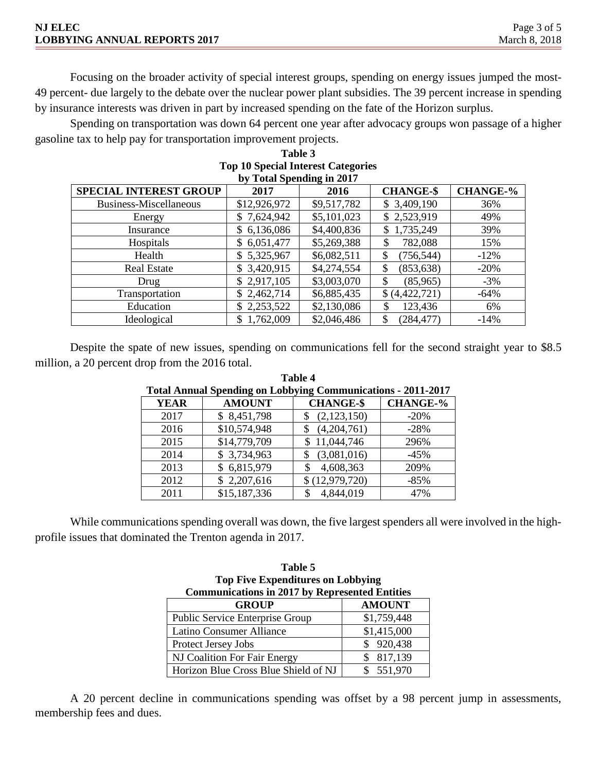| <b>NJ ELEC</b>                      | Page 3 of 5   |
|-------------------------------------|---------------|
| <b>LOBBYING ANNUAL REPORTS 2017</b> | March 8, 2018 |

Focusing on the broader activity of special interest groups, spending on energy issues jumped the most-49 percent- due largely to the debate over the nuclear power plant subsidies. The 39 percent increase in spending by insurance interests was driven in part by increased spending on the fate of the Horizon surplus.

Spending on transportation was down 64 percent one year after advocacy groups won passage of a higher gasoline tax to help pay for transportation improvement projects.

| <b>Top 10 Special Interest Categories</b><br>by Total Spending in 2017 |                  |             |                  |                 |  |
|------------------------------------------------------------------------|------------------|-------------|------------------|-----------------|--|
| <b>SPECIAL INTEREST GROUP</b>                                          | 2017             | 2016        | <b>CHANGE-\$</b> | <b>CHANGE-%</b> |  |
| Business-Miscellaneous                                                 | \$12,926,972     | \$9,517,782 | \$3,409,190      | 36%             |  |
| Energy                                                                 | \$7,624,942      | \$5,101,023 | \$2,523,919      | 49%             |  |
| Insurance                                                              | 6,136,086<br>\$  | \$4,400,836 | 1,735,249<br>\$. | 39%             |  |
| Hospitals                                                              | 6,051,477<br>\$  | \$5,269,388 | 782,088<br>\$    | 15%             |  |
| Health                                                                 | 5,325,967<br>\$. | \$6,082,511 | \$<br>(756, 544) | $-12%$          |  |
| <b>Real Estate</b>                                                     | \$3,420,915      | \$4,274,554 | \$<br>(853, 638) | $-20%$          |  |
| Drug                                                                   | \$2,917,105      | \$3,003,070 | \$<br>(85,965)   | $-3%$           |  |
| Transportation                                                         | \$2,462,714      | \$6,885,435 | \$(4,422,721)    | $-64%$          |  |
| Education                                                              | \$2,253,522      | \$2,130,086 | \$<br>123,436    | 6%              |  |
| Ideological                                                            | 1,762,009<br>\$  | \$2,046,486 | \$<br>(284, 477) | $-14%$          |  |

## **Table 3**

Despite the spate of new issues, spending on communications fell for the second straight year to \$8.5 million, a 20 percent drop from the 2016 total.

| <b>Total Annual Spending on Lobbying Communications - 2011-2017</b> |               |                  |                 |  |
|---------------------------------------------------------------------|---------------|------------------|-----------------|--|
| <b>YEAR</b>                                                         | <b>AMOUNT</b> | <b>CHANGE-\$</b> | <b>CHANGE-%</b> |  |
| 2017                                                                | \$8,451,798   | (2,123,150)      | $-20%$          |  |
| 2016                                                                | \$10,574,948  | (4,204,761)      | $-28%$          |  |
| 2015                                                                | \$14,779,709  | 11,044,746       | 296%            |  |
| 2014                                                                | \$3,734,963   | (3,081,016)      | $-45%$          |  |
| 2013                                                                | \$6,815,979   | 4,608,363        | 209%            |  |
| 2012                                                                | \$2,207,616   | \$(12,979,720)   | $-85%$          |  |
| 2011                                                                | \$15,187,336  | 4,844,019        | 47%             |  |

**Table 4**

While communications spending overall was down, the five largest spenders all were involved in the highprofile issues that dominated the Trenton agenda in 2017.

| Table 5                                               |               |  |  |
|-------------------------------------------------------|---------------|--|--|
| <b>Top Five Expenditures on Lobbying</b>              |               |  |  |
| <b>Communications in 2017 by Represented Entities</b> |               |  |  |
| <b>GROUP</b>                                          | <b>AMOUNT</b> |  |  |
| Public Service Enterprise Group                       | \$1,759,448   |  |  |
| Latino Consumer Alliance                              | \$1,415,000   |  |  |
| Protect Jersey Jobs                                   | \$920,438     |  |  |
| NJ Coalition For Fair Energy                          | 817,139       |  |  |
| Horizon Blue Cross Blue Shield of NJ                  | 551,970       |  |  |

A 20 percent decline in communications spending was offset by a 98 percent jump in assessments, membership fees and dues.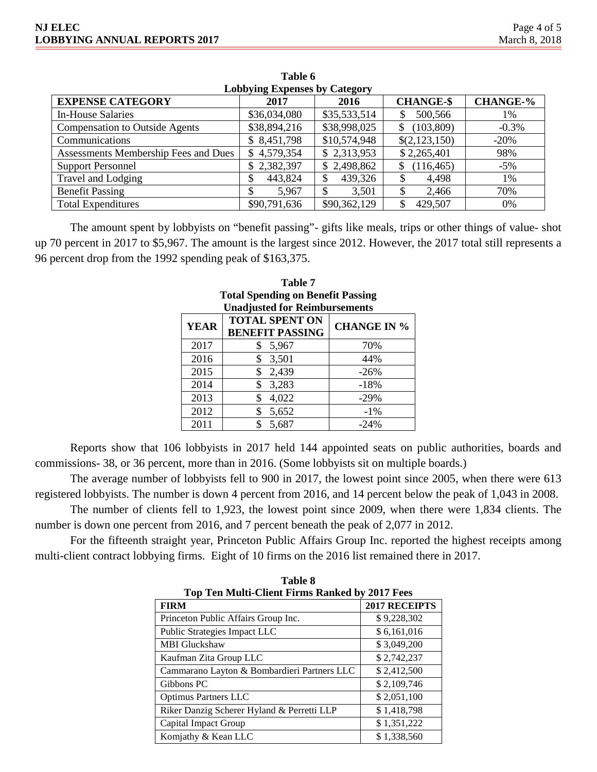| <b>Lobbying Expenses by Category</b>  |              |              |                  |                 |
|---------------------------------------|--------------|--------------|------------------|-----------------|
| <b>EXPENSE CATEGORY</b>               | 2017         | 2016         | <b>CHANGE-\$</b> | <b>CHANGE-%</b> |
| <b>In-House Salaries</b>              | \$36,034,080 | \$35,533,514 | 500,566          | 1%              |
| <b>Compensation to Outside Agents</b> | \$38,894,216 | \$38,998,025 | (103, 809)       | $-0.3%$         |
| Communications                        | \$8,451,798  | \$10,574,948 | \$(2,123,150)    | $-20\%$         |
| Assessments Membership Fees and Dues  | \$4,579,354  | \$2,313,953  | \$2,265,401      | 98%             |
| <b>Support Personnel</b>              | \$2,382,397  | \$2,498,862  | (116, 465)       | $-5\%$          |
| Travel and Lodging                    | 443,824<br>Φ | 439,326      | 4,498            | 1%              |
| <b>Benefit Passing</b>                | 5,967<br>Ф   | 3,501        | 2,466            | 70%             |
| <b>Total Expenditures</b>             | \$90,791,636 | \$90,362,129 | 429,507          | 0%              |

**Table 6**

The amount spent by lobbyists on "benefit passing"- gifts like meals, trips or other things of value- shot up 70 percent in 2017 to \$5,967. The amount is the largest since 2012. However, the 2017 total still represents a 96 percent drop from the 1992 spending peak of \$163,375.

| <b>Total Spending on Benefit Passing</b> |                                                 |                    |  |
|------------------------------------------|-------------------------------------------------|--------------------|--|
| <b>Unadjusted for Reimbursements</b>     |                                                 |                    |  |
| <b>YEAR</b>                              | <b>TOTAL SPENT ON</b><br><b>BENEFIT PASSING</b> | <b>CHANGE IN %</b> |  |
| 2017                                     | \$<br>5,967                                     | 70%                |  |
| 2016                                     | 3,501<br>\$                                     | 44%                |  |
| 2015                                     | 2,439<br>\$                                     | $-26%$             |  |
| 2014                                     | 3,283<br>\$                                     | $-18%$             |  |
| 2013                                     | 4,022<br>\$                                     | $-29%$             |  |
| 2012                                     | 5,652<br>\$                                     | $-1\%$             |  |
| 2011                                     | \$<br>5,687                                     | $-24%$             |  |

| Table 7                                  |
|------------------------------------------|
| <b>Total Spending on Benefit Passing</b> |
| <b>Unadjusted for Reimbursements</b>     |
|                                          |

Reports show that 106 lobbyists in 2017 held 144 appointed seats on public authorities, boards and commissions- 38, or 36 percent, more than in 2016. (Some lobbyists sit on multiple boards.)

The average number of lobbyists fell to 900 in 2017, the lowest point since 2005, when there were 613 registered lobbyists. The number is down 4 percent from 2016, and 14 percent below the peak of 1,043 in 2008.

The number of clients fell to 1,923, the lowest point since 2009, when there were 1,834 clients. The number is down one percent from 2016, and 7 percent beneath the peak of 2,077 in 2012.

For the fifteenth straight year, Princeton Public Affairs Group Inc. reported the highest receipts among multi-client contract lobbying firms. Eight of 10 firms on the 2016 list remained there in 2017.

| <b>Top Ten Multi-Client Firms Ranked by 2017 Fees</b> |               |  |  |  |
|-------------------------------------------------------|---------------|--|--|--|
| <b>FIRM</b>                                           | 2017 RECEIPTS |  |  |  |
| Princeton Public Affairs Group Inc.                   | \$9,228,302   |  |  |  |
| Public Strategies Impact LLC                          | \$6,161,016   |  |  |  |
| <b>MBI</b> Gluckshaw                                  | \$3,049,200   |  |  |  |
| Kaufman Zita Group LLC                                | \$2,742,237   |  |  |  |
| Cammarano Layton & Bombardieri Partners LLC           | \$2,412,500   |  |  |  |
| Gibbons PC                                            | \$2,109,746   |  |  |  |
| <b>Optimus Partners LLC</b>                           | \$2,051,100   |  |  |  |
| Riker Danzig Scherer Hyland & Perretti LLP            | \$1,418,798   |  |  |  |
| Capital Impact Group                                  | \$1,351,222   |  |  |  |
| Komjathy & Kean LLC                                   | \$1,338,560   |  |  |  |

**Table 8**